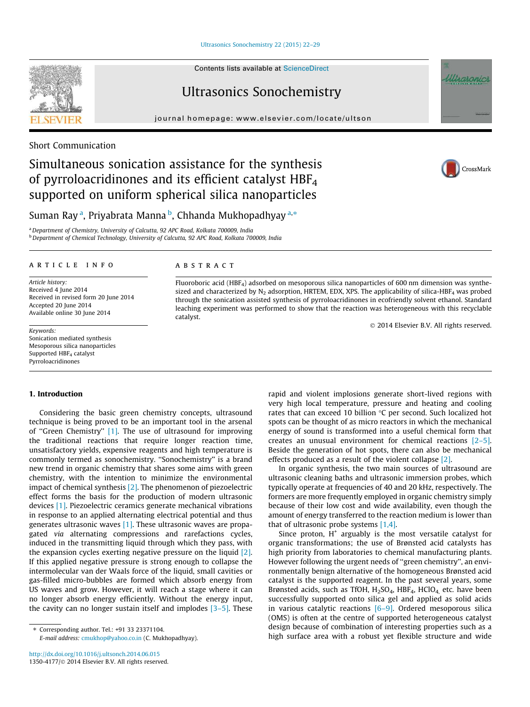Ultrasonics Sonochemistry 22 (2015) 22–29

Contents lists available at ScienceDirect

# Ultrasonics Sonochemistry

journal homepage: www.elsevier.com/locate/ultson



# Simultaneous sonication assistance for the synthesis of pyrroloacridinones and its efficient catalyst HBF<sup>4</sup> supported on uniform spherical silica nanoparticles



CrossMark

# Suman Ray<sup>a</sup>, Priyabrata Manna <sup>b</sup>, Chhanda Mukhopadhyay <sup>a,</sup>\*

<sup>a</sup> Department of Chemistry, University of Calcutta, 92 APC Road, Kolkata 700009, India b Department of Chemical Technology, University of Calcutta, 92 APC Road, Kolkata 700009, India

#### article info

Article history: Received 4 June 2014 Received in revised form 20 June 2014 Accepted 20 June 2014 Available online 30 June 2014

Keywords: Sonication mediated synthesis Mesoporous silica nanoparticles Supported HBF<sub>4</sub> catalyst Pyrroloacridinones

### 1. Introduction

Considering the basic green chemistry concepts, ultrasound technique is being proved to be an important tool in the arsenal of ''Green Chemistry'' [1]. The use of ultrasound for improving the traditional reactions that require longer reaction time, unsatisfactory yields, expensive reagents and high temperature is commonly termed as sonochemistry. "Sonochemistry" is a brand new trend in organic chemistry that shares some aims with green chemistry, with the intention to minimize the environmental impact of chemical synthesis [2]. The phenomenon of piezoelectric effect forms the basis for the production of modern ultrasonic devices [1]. Piezoelectric ceramics generate mechanical vibrations in response to an applied alternating electrical potential and thus generates ultrasonic waves [1]. These ultrasonic waves are propagated via alternating compressions and rarefactions cycles, induced in the transmitting liquid through which they pass, with the expansion cycles exerting negative pressure on the liquid [2]. If this applied negative pressure is strong enough to collapse the intermolecular van der Waals force of the liquid, small cavities or gas-filled micro-bubbles are formed which absorb energy from US waves and grow. However, it will reach a stage where it can no longer absorb energy efficiently. Without the energy input, the cavity can no longer sustain itself and implodes [3–5]. These

# **ABSTRACT**

Fluoroboric acid (HBF4) adsorbed on mesoporous silica nanoparticles of 600 nm dimension was synthesized and characterized by  $N_2$  adsorption, HRTEM, EDX, XPS. The applicability of silica-HBF<sub>4</sub> was probed through the sonication assisted synthesis of pyrroloacridinones in ecofriendly solvent ethanol. Standard leaching experiment was performed to show that the reaction was heterogeneous with this recyclable catalyst.

 $@$  2014 Elsevier B.V. All rights reserved.

rapid and violent implosions generate short-lived regions with very high local temperature, pressure and heating and cooling rates that can exceed 10 billion  $\degree$ C per second. Such localized hot spots can be thought of as micro reactors in which the mechanical energy of sound is transformed into a useful chemical form that creates an unusual environment for chemical reactions [2–5]. Beside the generation of hot spots, there can also be mechanical effects produced as a result of the violent collapse [2].

In organic synthesis, the two main sources of ultrasound are ultrasonic cleaning baths and ultrasonic immersion probes, which typically operate at frequencies of 40 and 20 kHz, respectively. The formers are more frequently employed in organic chemistry simply because of their low cost and wide availability, even though the amount of energy transferred to the reaction medium is lower than that of ultrasonic probe systems [1,4].

Since proton, H<sup>+</sup> arguably is the most versatile catalyst for organic transformations; the use of Brønsted acid catalysts has high priority from laboratories to chemical manufacturing plants. However following the urgent needs of ''green chemistry'', an environmentally benign alternative of the homogeneous Brønsted acid catalyst is the supported reagent. In the past several years, some Brønsted acids, such as TfOH,  $H_2SO_4$ , HBF<sub>4</sub>, HClO<sub>4</sub> etc. have been successfully supported onto silica gel and applied as solid acids in various catalytic reactions [6–9]. Ordered mesoporous silica (OMS) is often at the centre of supported heterogeneous catalyst design because of combination of interesting properties such as a high surface area with a robust yet flexible structure and wide



<sup>⇑</sup> Corresponding author. Tel.: +91 33 23371104. E-mail address: cmukhop@yahoo.co.in (C. Mukhopadhyay).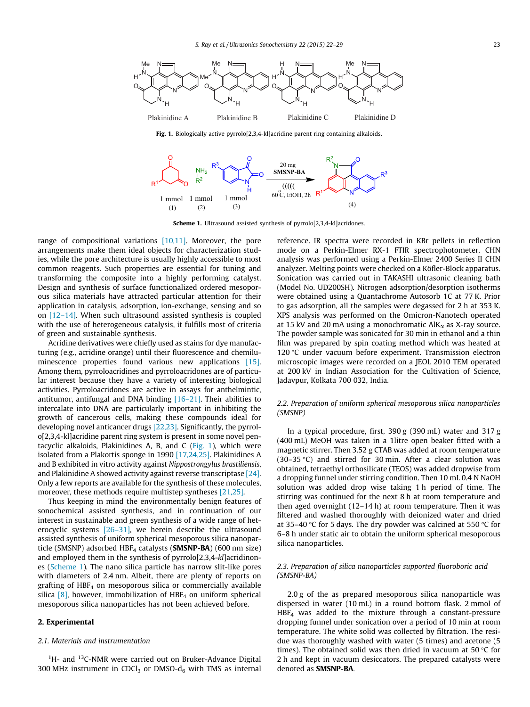

Fig. 1. Biologically active pyrrolo[2,3,4-kl]acridine parent ring containing alkaloids.



Scheme 1. Ultrasound assisted synthesis of pyrrolo[2,3,4-kl]acridones.

range of compositional variations [10,11]. Moreover, the pore arrangements make them ideal objects for characterization studies, while the pore architecture is usually highly accessible to most common reagents. Such properties are essential for tuning and transforming the composite into a highly performing catalyst. Design and synthesis of surface functionalized ordered mesoporous silica materials have attracted particular attention for their application in catalysis, adsorption, ion-exchange, sensing and so on [12–14]. When such ultrasound assisted synthesis is coupled with the use of heterogeneous catalysis, it fulfills most of criteria of green and sustainable synthesis.

Acridine derivatives were chiefly used as stains for dye manufacturing (e.g., acridine orange) until their fluorescence and chemiluminescence properties found various new applications [15]. Among them, pyrroloacridines and pyrroloacridones are of particular interest because they have a variety of interesting biological activities. Pyrroloacridones are active in assays for anthelmintic, antitumor, antifungal and DNA binding [16–21]. Their abilities to intercalate into DNA are particularly important in inhibiting the growth of cancerous cells, making these compounds ideal for developing novel anticancer drugs [22,23]. Significantly, the pyrrolo[2,3,4-kl]acridine parent ring system is present in some novel pentacyclic alkaloids, Plakinidines A, B, and C (Fig. 1), which were isolated from a Plakortis sponge in 1990 [17,24,25]. Plakinidines A and B exhibited in vitro activity against Nippostrongylus brastiliensis, and Plakinidine A showed activity against reverse transcriptase [24]. Only a few reports are available for the synthesis of these molecules, moreover, these methods require multistep syntheses [21,25].

Thus keeping in mind the environmentally benign features of sonochemical assisted synthesis, and in continuation of our interest in sustainable and green synthesis of a wide range of heterocyclic systems  $[26-31]$ , we herein describe the ultrasound assisted synthesis of uniform spherical mesoporous silica nanoparticle (SMSNP) adsorbed  $HBF_4$  catalysts (**SMSNP-BA**) (600 nm size) and employed them in the synthesis of pyrrolo[2,3,4-kl]acridinones (Scheme 1). The nano silica particle has narrow slit-like pores with diameters of 2.4 nm. Albeit, there are plenty of reports on grafting of  $HBF<sub>4</sub>$  on mesoporous silica or commercially available silica  $[8]$ , however, immobilization of HBF<sub>4</sub> on uniform spherical mesoporous silica nanoparticles has not been achieved before.

## 2. Experimental

## 2.1. Materials and instrumentation

 $<sup>1</sup>H$ - and  $<sup>13</sup>C$ -NMR were carried out on Bruker-Advance Digital</sup></sup> 300 MHz instrument in CDCl<sub>3</sub> or DMSO- $d_6$  with TMS as internal

reference. IR spectra were recorded in KBr pellets in reflection mode on a Perkin-Elmer RX-1 FTIR spectrophotometer. CHN analysis was performed using a Perkin-Elmer 2400 Series II CHN analyzer. Melting points were checked on a Köfler-Block apparatus. Sonication was carried out in TAKASHI ultrasonic cleaning bath (Model No. UD200SH). Nitrogen adsorption/desorption isotherms were obtained using a Quantachrome Autosorb 1C at 77 K. Prior to gas adsorption, all the samples were degassed for 2 h at 353 K. XPS analysis was performed on the Omicron-Nanotech operated at 15 kV and 20 mA using a monochromatic  $AIK_{\alpha}$  as X-ray source. The powder sample was sonicated for 30 min in ethanol and a thin film was prepared by spin coating method which was heated at 120 $\degree$ C under vacuum before experiment. Transmission electron microscopic images were recorded on a JEOL 2010 TEM operated at 200 kV in Indian Association for the Cultivation of Science, Jadavpur, Kolkata 700 032, India.

## 2.2. Preparation of uniform spherical mesoporous silica nanoparticles (SMSNP)

In a typical procedure, first, 390 g (390 mL) water and 317 g (400 mL) MeOH was taken in a 1litre open beaker fitted with a magnetic stirrer. Then 3.52 g CTAB was added at room temperature (30–35  $\degree$ C) and stirred for 30 min. After a clear solution was obtained, tetraethyl orthosilicate (TEOS) was added dropwise from a dropping funnel under stirring condition. Then 10 mL 0.4 N NaOH solution was added drop wise taking 1 h period of time. The stirring was continued for the next 8 h at room temperature and then aged overnight (12–14 h) at room temperature. Then it was filtered and washed thoroughly with deionized water and dried at 35–40 °C for 5 days. The dry powder was calcined at 550 °C for 6–8 h under static air to obtain the uniform spherical mesoporous silica nanoparticles.

## 2.3. Preparation of silica nanoparticles supported fluoroboric acid (SMSNP-BA)

2.0 g of the as prepared mesoporous silica nanoparticle was dispersed in water (10 mL) in a round bottom flask. 2 mmol of  $HBF<sub>4</sub>$  was added to the mixture through a constant-pressure dropping funnel under sonication over a period of 10 min at room temperature. The white solid was collected by filtration. The residue was thoroughly washed with water (5 times) and acetone (5 times). The obtained solid was then dried in vacuum at 50  $\degree$ C for 2 h and kept in vacuum desiccators. The prepared catalysts were denoted as SMSNP-BA.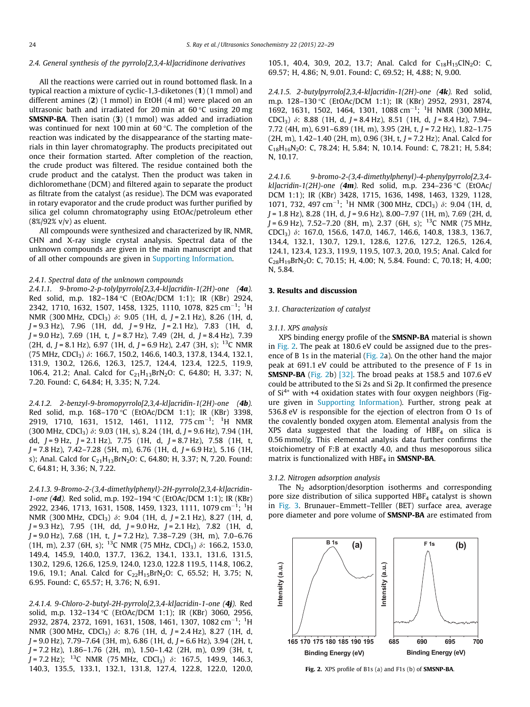## 2.4. General synthesis of the pyrrolo[2,3,4-kl]acridinone derivatives

All the reactions were carried out in round bottomed flask. In a typical reaction a mixture of cyclic-1,3-diketones (1) (1 mmol) and different amines (2) (1 mmol) in EtOH (4 ml) were placed on an ultrasonic bath and irradiated for 20 min at  $60^{\circ}$ C using 20 mg SMSNP-BA. Then isatin (3) (1 mmol) was added and irradiation was continued for next 100 min at  $60^{\circ}$ C. The completion of the reaction was indicated by the disappearance of the starting materials in thin layer chromatography. The products precipitated out once their formation started. After completion of the reaction, the crude product was filtered. The residue contained both the crude product and the catalyst. Then the product was taken in dichloromethane (DCM) and filtered again to separate the product as filtrate from the catalyst (as residue). The DCM was evaporated in rotary evaporator and the crude product was further purified by silica gel column chromatography using EtOAc/petroleum ether (8%/92% v/v) as eluent.

All compounds were synthesized and characterized by IR, NMR, CHN and X-ray single crystal analysis. Spectral data of the unknown compounds are given in the main manuscript and that of all other compounds are given in Supporting Information.

### 2.4.1. Spectral data of the unknown compounds

2.4.1.1. 9-bromo-2-p-tolylpyrrolo[2,3,4-kl]acridin-1(2H)-one (4a). Red solid, m.p. 182–184 °C (EtOAc/DCM 1:1); IR (KBr) 2924, 2342, 1710, 1632, 1507, 1458, 1325, 1110, 1078, 825 cm<sup>-1</sup>; <sup>1</sup>H NMR (300 MHz, CDCl<sub>3</sub>)  $\delta$ : 9.05 (1H, d, J = 2.1 Hz), 8.26 (1H, d,  $J = 9.3$  Hz), 7.96 (1H, dd,  $J = 9$  Hz,  $J = 2.1$  Hz), 7.83 (1H, d,  $J = 9.0$  Hz), 7.69 (1H, t,  $J = 8.7$  Hz), 7.49 (2H, d,  $J = 8.4$  Hz), 7.39 (2H, d, J = 8.1 Hz), 6.97 (1H, d, J = 6.9 Hz), 2.47 (3H, s); <sup>13</sup>C NMR (75 MHz, CDCl3) d: 166.7, 150.2, 146.6, 140.3, 137.8, 134.4, 132.1, 131.9, 130.2, 126.6, 126.3, 125.7, 124.4, 123.4, 122.5, 119.9, 106.4, 21.2; Anal. Calcd for C<sub>21</sub>H<sub>13</sub>BrN<sub>2</sub>O: C, 64.80; H, 3.37; N, 7.20. Found: C, 64.84; H, 3.35; N, 7.24.

2.4.1.2. 2-benzyl-9-bromopyrrolo[2,3,4-kl]acridin-1(2H)-one (4b). Red solid, m.p. 168-170 °C (EtOAc/DCM 1:1); IR (KBr) 3398, 2919, 1710, 1631, 1512, 1461, 1112, 775 cm<sup>-1</sup>; <sup>1</sup>H NMR  $(300 \text{ MHz}, \text{CDCl}_3)$   $\delta$ : 9.03 (1H, s), 8.24 (1H, d, J = 9.6 Hz), 7.94 (1H, dd,  $J = 9$  Hz,  $J = 2.1$  Hz), 7.75 (1H, d,  $J = 8.7$  Hz), 7.58 (1H, t,  $J = 7.8$  Hz),  $7.42 - 7.28$  (5H, m), 6.76 (1H, d,  $J = 6.9$  Hz), 5.16 (1H, s); Anal. Calcd for  $C_{21}H_{13}BrN_2O$ : C, 64.80; H, 3.37; N, 7.20. Found: C, 64.81; H, 3.36; N, 7.22.

2.4.1.3. 9-Bromo-2-(3,4-dimethylphenyl)-2H-pyrrolo[2,3,4-kl]acridin-1-one (4d). Red solid, m.p. 192–194 °C (EtOAc/DCM 1:1); IR (KBr) 2922, 2346, 1713, 1631, 1508, 1459, 1323, 1111, 1079 cm<sup>-1</sup>; <sup>1</sup>H NMR (300 MHz, CDCl<sub>3</sub>)  $\delta$ : 9.04 (1H, d, J = 2.1 Hz), 8.27 (1H, d,  $J = 9.3$  Hz), 7.95 (1H, dd,  $J = 9.0$  Hz,  $J = 2.1$  Hz), 7.82 (1H, d,  $J = 9.0$  Hz), 7.68 (1H, t,  $J = 7.2$  Hz), 7.38–7.29 (3H, m), 7.0–6.76 (1H, m), 2.37 (6H, s); <sup>13</sup>C NMR (75 MHz, CDCl<sub>3</sub>)  $\delta$ : 166.2, 153.0, 149.4, 145.9, 140.0, 137.7, 136.2, 134.1, 133.1, 131.6, 131.5, 130.2, 129.6, 126.6, 125.9, 124.0, 123.0, 122.8 119.5, 114.8, 106.2, 19.6, 19.1; Anal. Calcd for  $C_{22}H_{15}BrN_2O$ : C, 65.52; H, 3.75; N, 6.95. Found: C, 65.57; H, 3.76; N, 6.91.

2.4.1.4. 9-Chloro-2-butyl-2H-pyrrolo[2,3,4-kl]acridin-1-one (4j). Red solid, m.p. 132–134 °C (EtOAc/DCM 1:1); IR (KBr) 3060, 2956, 2932, 2874, 2372, 1691, 1631, 1508, 1461, 1307, 1082 cm<sup>-1</sup>; <sup>1</sup>H NMR (300 MHz, CDCl<sub>3</sub>)  $\delta$ : 8.76 (1H, d, J = 2.4 Hz), 8.27 (1H, d,  $J = 9.0$  Hz), 7.79–7.64 (3H, m), 6.86 (1H, d,  $J = 6.6$  Hz), 3.94 (2H, t, J = 7.2 Hz), 1.86–1.76 (2H, m), 1.50–1.42 (2H, m), 0.99 (3H, t,  $J = 7.2$  Hz); <sup>13</sup>C NMR (75 MHz, CDCl<sub>3</sub>)  $\delta$ : 167.5, 149.9, 146.3, 140.3, 135.5, 133.1, 132.1, 131.8, 127.4, 122.8, 122.0, 120.0,

105.1, 40.4, 30.9, 20.2, 13.7; Anal. Calcd for  $C_{18}H_{15}C/N_2O$ : C, 69.57; H, 4.86; N, 9.01. Found: C, 69.52; H, 4.88; N, 9.00.

2.4.1.5. 2-butylpyrrolo[2.3.4-kl]acridin-1(2H)-one  $(4k)$ . Red solid, m.p. 128-130 °C (EtOAc/DCM 1:1); IR (KBr) 2952, 2931, 2874, 1692, 1631, 1502, 1464, 1301, 1088 cm<sup>-1</sup>; <sup>1</sup>H NMR (300 MHz, CDCl<sub>3</sub>)  $\delta$ : 8.88 (1H, d, J = 8.4 Hz), 8.51 (1H, d, J = 8.4 Hz), 7.94– 7.72 (4H, m),  $6.91 - 6.89$  (1H, m), 3.95 (2H, t,  $J = 7.2$  Hz), 1.82-1.75  $(2H, m)$ , 1.42–1.40  $(2H, m)$ , 0.96  $(3H, t, J = 7.2 Hz)$ ; Anal. Calcd for  $C_{18}H_{16}N_2O$ : C, 78.24; H, 5.84; N, 10.14. Found: C, 78.21; H, 5.84; N, 10.17.

2.4.1.6. 9-bromo-2-(3,4-dimethylphenyl)-4-phenylpyrrolo[2,3,4 kl]acridin-1(2H)-one (4m). Red solid, m.p. 234-236 °C (EtOAc) DCM 1:1); IR (KBr) 3428, 1715, 1636, 1498, 1463, 1329, 1128, 1071, 732, 497 cm<sup>-1</sup>; <sup>1</sup>H NMR (300 MHz, CDCl<sub>3</sub>)  $\delta$ : 9.04 (1H, d,  $J = 1.8$  Hz), 8.28 (1H, d,  $J = 9.6$  Hz), 8.00–7.97 (1H, m), 7.69 (2H, d,  $J = 6.9$  Hz), 7.52–7.20 (8H, m), 2.37 (6H, s); <sup>13</sup>C NMR (75 MHz, CDCl3) d: 167.0, 156.6, 147.0, 146.7, 146.6, 140.8, 138.3, 136.7, 134.4, 132.1, 130.7, 129.1, 128.6, 127.6, 127.2, 126.5, 126.4, 124.1, 123.4, 123.3, 119.9, 119.5, 107.3, 20.0, 19.5; Anal. Calcd for C28H19BrN2O: C, 70.15; H, 4.00; N, 5.84. Found: C, 70.18; H, 4.00; N, 5.84.

## 3. Results and discussion

#### 3.1. Characterization of catalyst

#### 3.1.1. XPS analysis

XPS binding energy profile of the SMSNP-BA material is shown in Fig. 2. The peak at 180.6 eV could be assigned due to the presence of B 1s in the material (Fig. 2a). On the other hand the major peak at 691.1 eV could be attributed to the presence of F 1s in **SMSNP-BA** (Fig. 2b) [32]. The broad peaks at 158.5 and 107.6 eV could be attributed to the Si 2s and Si 2p. It confirmed the presence of  $Si<sup>4+</sup>$  with +4 oxidation states with four oxygen neighbors (Figure given in Supporting Information). Further, strong peak at 536.8 eV is responsible for the ejection of electron from O 1s of the covalently bonded oxygen atom. Elemental analysis from the  $XPS$  data suggested that the loading of HBF<sub>4</sub> on silica is 0.56 mmol/g. This elemental analysis data further confirms the stoichiometry of F:B at exactly 4.0, and thus mesoporous silica matrix is functionalized with  $HBF<sub>4</sub>$  in **SMSNP-BA**.

#### 3.1.2. Nitrogen adsorption analysis

The  $N_2$  adsorption/desorption isotherms and corresponding pore size distribution of silica supported HBF<sub>4</sub> catalyst is shown in Fig. 3. Brunauer–Emmett–Telller (BET) surface area, average pore diameter and pore volume of **SMSNP-BA** are estimated from



Fig. 2. XPS profile of B1s (a) and F1s (b) of SMSNP-BA.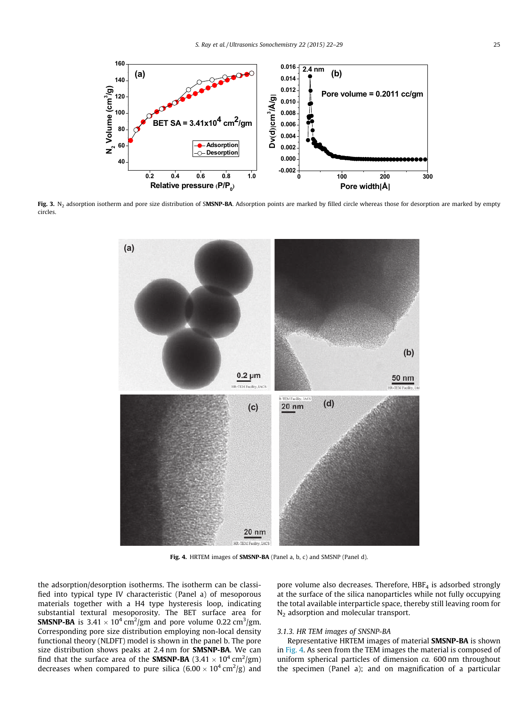

Fig. 3. N<sub>2</sub> adsorption isotherm and pore size distribution of SMSNP-BA. Adsorption points are marked by filled circle whereas those for desorption are marked by empty circles.



Fig. 4. HRTEM images of SMSNP-BA (Panel a, b, c) and SMSNP (Panel d).

the adsorption/desorption isotherms. The isotherm can be classified into typical type IV characteristic (Panel a) of mesoporous materials together with a H4 type hysteresis loop, indicating substantial textural mesoporosity. The BET surface area for **SMSNP-BA** is 3.41  $\times$  10<sup>4</sup> cm<sup>2</sup>/gm and pore volume 0.22 cm<sup>3</sup>/gm. Corresponding pore size distribution employing non-local density functional theory (NLDFT) model is shown in the panel b. The pore size distribution shows peaks at 2.4 nm for SMSNP-BA. We can find that the surface area of the SMSNP-BA (3.41  $\times$  10<sup>4</sup> cm<sup>2</sup>/gm) decreases when compared to pure silica  $(6.00 \times 10^4 \,\mathrm{cm}^2/\mathrm{g})$  and

pore volume also decreases. Therefore,  $HBF<sub>4</sub>$  is adsorbed strongly at the surface of the silica nanoparticles while not fully occupying the total available interparticle space, thereby still leaving room for N<sub>2</sub> adsorption and molecular transport.

## 3.1.3. HR TEM images of SNSNP-BA

Representative HRTEM images of material SMSNP-BA is shown in Fig. 4. As seen from the TEM images the material is composed of uniform spherical particles of dimension ca. 600 nm throughout the specimen (Panel a); and on magnification of a particular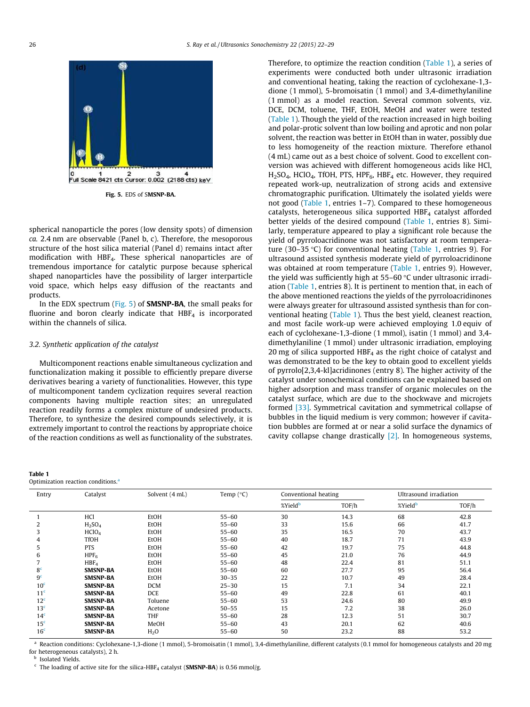

spherical nanoparticle the pores (low density spots) of dimension ca. 2.4 nm are observable (Panel b, c). Therefore, the mesoporous structure of the host silica material (Panel d) remains intact after modification with HBF4. These spherical nanoparticles are of tremendous importance for catalytic purpose because spherical shaped nanoparticles have the possibility of larger interparticle void space, which helps easy diffusion of the reactants and products.

In the EDX spectrum (Fig. 5) of **SMSNP-BA**, the small peaks for fluorine and boron clearly indicate that  $HBF<sub>4</sub>$  is incorporated within the channels of silica.

## 3.2. Synthetic application of the catalyst

Multicomponent reactions enable simultaneous cyclization and functionalization making it possible to efficiently prepare diverse derivatives bearing a variety of functionalities. However, this type of multicomponent tandem cyclization requires several reaction components having multiple reaction sites; an unregulated reaction readily forms a complex mixture of undesired products. Therefore, to synthesize the desired compounds selectively, it is extremely important to control the reactions by appropriate choice of the reaction conditions as well as functionality of the substrates.

| .                                              |  |
|------------------------------------------------|--|
| Optimization reaction conditions. <sup>a</sup> |  |

Table 1

| Therefore, to optimize the reaction condition (Table 1), a series of                                                            |
|---------------------------------------------------------------------------------------------------------------------------------|
| experiments were conducted both under ultrasonic irradiation                                                                    |
| and conventional heating, taking the reaction of cyclohexane-1,3-                                                               |
| dione (1 mmol), 5-bromoisatin (1 mmol) and 3,4-dimethylaniline                                                                  |
| (1 mmol) as a model reaction. Several common solvents, viz.                                                                     |
| DCE, DCM, toluene, THF, EtOH, MeOH and water were tested                                                                        |
| (Table 1). Though the yield of the reaction increased in high boiling                                                           |
| and polar-protic solvent than low boiling and aprotic and non polar                                                             |
| solvent, the reaction was better in EtOH than in water, possibly due                                                            |
| to less homogeneity of the reaction mixture. Therefore ethanol                                                                  |
| (4 mL) came out as a best choice of solvent. Good to excellent con-                                                             |
|                                                                                                                                 |
| version was achieved with different homogeneous acids like HCl,                                                                 |
| H <sub>2</sub> SO <sub>4</sub> , HClO <sub>4</sub> , TfOH, PTS, HPF <sub>6</sub> , HBF <sub>4</sub> etc. However, they required |
| repeated work-up, neutralization of strong acids and extensive                                                                  |
| chromatographic purification. Ultimately the isolated yields were                                                               |
| not good (Table 1, entries 1-7). Compared to these homogeneous                                                                  |
| catalysts, heterogeneous silica supported HBF <sub>4</sub> catalyst afforded                                                    |
| better yields of the desired compound (Table 1, entries 8). Simi-                                                               |
| larly, temperature appeared to play a significant role because the                                                              |
| yield of pyrroloacridinone was not satisfactory at room tempera-                                                                |
| ture (30-35 °C) for conventional heating (Table 1, entries 9). For                                                              |
| ultrasound assisted synthesis moderate yield of pyrroloacridinone                                                               |
| was obtained at room temperature (Table 1, entries 9). However,                                                                 |
| the yield was sufficiently high at $55-60$ °C under ultrasonic irradi-                                                          |
| ation (Table 1, entries 8). It is pertinent to mention that, in each of                                                         |
| the above mentioned reactions the yields of the pyrroloacridinones                                                              |
| were always greater for ultrasound assisted synthesis than for con-                                                             |
| ventional heating (Table 1). Thus the best yield, cleanest reaction,                                                            |
| and most facile work-up were achieved employing 1.0 equiv of                                                                    |
| each of cyclohexane-1,3-dione (1 mmol), isatin (1 mmol) and 3,4-                                                                |
| dimethylaniline (1 mmol) under ultrasonic irradiation, employing                                                                |
| 20 mg of silica supported $HBF4$ as the right choice of catalyst and                                                            |
| was demonstrated to be the key to obtain good to excellent yields                                                               |
| of pyrrolo[2,3,4-kl]acridinones (entry 8). The higher activity of the                                                           |
| catalyst under sonochemical conditions can be explained based on                                                                |
| higher adsorption and mass transfer of organic molecules on the                                                                 |
| catalyst surface, which are due to the shockwave and microjets                                                                  |
| formed [33]. Symmetrical cavitation and symmetrical collapse of                                                                 |
| bubbles in the liquid medium is very common; however if cavita-                                                                 |
| tion bubbles are formed at or near a solid surface the dynamics of                                                              |
| cavity collapse change drastically $[2]$ . In homogeneous systems,                                                              |

| Entry           | Catalyst                       | Solvent (4 mL) | Temp $(^{\circ}C)$ | Conventional heating |       | Ultrasound irradiation |       |
|-----------------|--------------------------------|----------------|--------------------|----------------------|-------|------------------------|-------|
|                 |                                |                |                    | %Yield <sup>b</sup>  | TOF/h | %Yield <sup>b</sup>    | TOF/h |
|                 | HCl                            | EtOH           | $55 - 60$          | 30                   | 14.3  | 68                     | 42.8  |
| 2               | H <sub>2</sub> SO <sub>4</sub> | EtOH           | $55 - 60$          | 33                   | 15.6  | 66                     | 41.7  |
| 3               | HClO <sub>4</sub>              | EtOH           | $55 - 60$          | 35                   | 16.5  | 70                     | 43.7  |
| 4               | <b>TfOH</b>                    | EtOH           | $55 - 60$          | 40                   | 18.7  | 71                     | 43.9  |
| 5               | <b>PTS</b>                     | EtOH           | $55 - 60$          | 42                   | 19.7  | 75                     | 44.8  |
| 6               | HPF <sub>6</sub>               | EtOH           | $55 - 60$          | 45                   | 21.0  | 76                     | 44.9  |
|                 | HBF <sub>4</sub>               | EtOH           | $55 - 60$          | 48                   | 22.4  | 81                     | 51.1  |
| 8 <sup>c</sup>  | <b>SMSNP-BA</b>                | EtOH           | $55 - 60$          | 60                   | 27.7  | 95                     | 56.4  |
| 9 <sup>c</sup>  | <b>SMSNP-BA</b>                | EtOH           | $30 - 35$          | 22                   | 10.7  | 49                     | 28.4  |
| 10 <sup>c</sup> | <b>SMSNP-BA</b>                | <b>DCM</b>     | $25 - 30$          | 15                   | 7.1   | 34                     | 22.1  |
| 11 <sup>c</sup> | <b>SMSNP-BA</b>                | DCE            | $55 - 60$          | 49                   | 22.8  | 61                     | 40.1  |
| 12 <sup>c</sup> | <b>SMSNP-BA</b>                | Toluene        | $55 - 60$          | 53                   | 24.6  | 80                     | 49.9  |
| 13 <sup>c</sup> | <b>SMSNP-BA</b>                | Acetone        | $50 - 55$          | 15                   | 7.2   | 38                     | 26.0  |
| 14 <sup>c</sup> | <b>SMSNP-BA</b>                | <b>THF</b>     | $55 - 60$          | 28                   | 12.3  | 51                     | 30.7  |
| 15 <sup>c</sup> | <b>SMSNP-BA</b>                | MeOH           | $55 - 60$          | 43                   | 20.1  | 62                     | 40.6  |
| 16 <sup>c</sup> | <b>SMSNP-BA</b>                | $H_2O$         | $55 - 60$          | 50                   | 23.2  | 88                     | 53.2  |

<sup>a</sup> Reaction conditions: Cyclohexane-1,3-dione (1 mmol), 5-bromoisatin (1 mmol), 3,4-dimethylaniline, different catalysts (0.1 mmol for homogeneous catalysts and 20 mg for heterogeneous catalysts), 2 h.

**b** Isolated Yields.

 $\epsilon$  The loading of active site for the silica-HBF<sub>4</sub> catalyst (SMSNP-BA) is 0.56 mmol/g.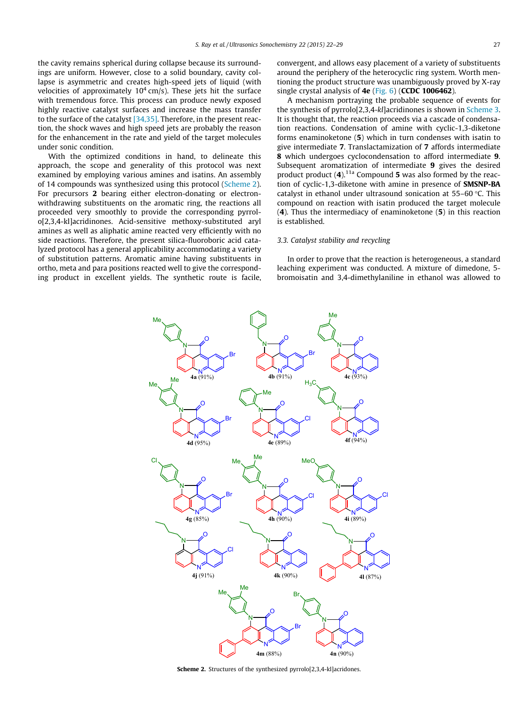the cavity remains spherical during collapse because its surroundings are uniform. However, close to a solid boundary, cavity collapse is asymmetric and creates high-speed jets of liquid (with velocities of approximately  $10^4$  cm/s). These jets hit the surface with tremendous force. This process can produce newly exposed highly reactive catalyst surfaces and increase the mass transfer to the surface of the catalyst [34,35]. Therefore, in the present reaction, the shock waves and high speed jets are probably the reason for the enhancement in the rate and yield of the target molecules under sonic condition.

With the optimized conditions in hand, to delineate this approach, the scope and generality of this protocol was next examined by employing various amines and isatins. An assembly of 14 compounds was synthesized using this protocol (Scheme 2). For precursors 2 bearing either electron-donating or electronwithdrawing substituents on the aromatic ring, the reactions all proceeded very smoothly to provide the corresponding pyrrolo[2,3,4-kl]acridinones. Acid-sensitive methoxy-substituted aryl amines as well as aliphatic amine reacted very efficiently with no side reactions. Therefore, the present silica-fluoroboric acid catalyzed protocol has a general applicability accommodating a variety of substitution patterns. Aromatic amine having substituents in ortho, meta and para positions reacted well to give the corresponding product in excellent yields. The synthetic route is facile, convergent, and allows easy placement of a variety of substituents around the periphery of the heterocyclic ring system. Worth mentioning the product structure was unambiguously proved by X-ray single crystal analysis of 4e (Fig. 6) (CCDC 1006462).

A mechanism portraying the probable sequence of events for the synthesis of pyrrolo[2,3,4-kl]acridinones is shown in Scheme 3. It is thought that, the reaction proceeds via a cascade of condensation reactions. Condensation of amine with cyclic-1,3-diketone forms enaminoketone (5) which in turn condenses with isatin to give intermediate 7. Translactamization of 7 affords intermediate 8 which undergoes cyclocondensation to afford intermediate 9. Subsequent aromatization of intermediate 9 gives the desired product product  $(4)$ .<sup>11a</sup> Compound 5 was also formed by the reaction of cyclic-1,3-diketone with amine in presence of SMSNP-BA catalyst in ethanol under ultrasound sonication at  $55-60$  °C. This compound on reaction with isatin produced the target molecule (4). Thus the intermediacy of enaminoketone (5) in this reaction is established.

## 3.3. Catalyst stability and recycling

In order to prove that the reaction is heterogeneous, a standard leaching experiment was conducted. A mixture of dimedone, 5 bromoisatin and 3,4-dimethylaniline in ethanol was allowed to



Scheme 2. Structures of the synthesized pyrrolo[2,3,4-kl]acridones.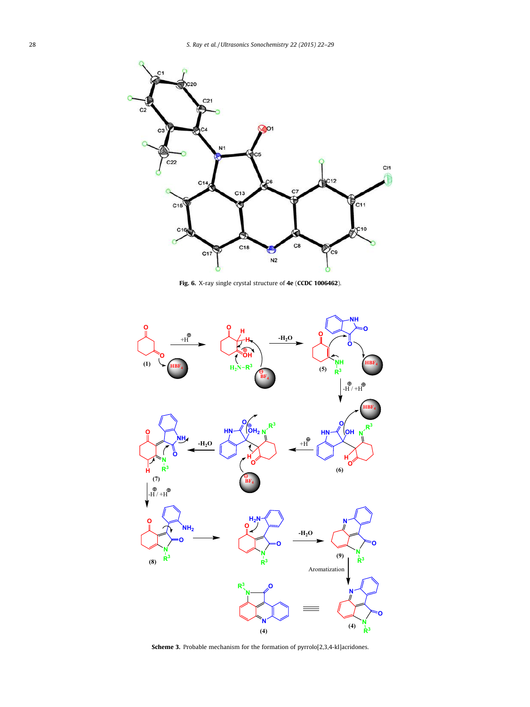

Fig. 6. X-ray single crystal structure of 4e (CCDC 1006462).



Scheme 3. Probable mechanism for the formation of pyrrolo[2,3,4-kl]acridones.